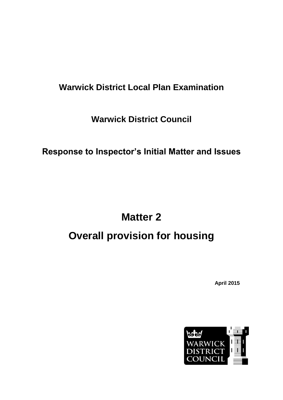# **Warwick District Local Plan Examination**

**Warwick District Council**

**Response to Inspector's Initial Matter and Issues**

# **Matter 2 Overall provision for housing**

**April 2015**

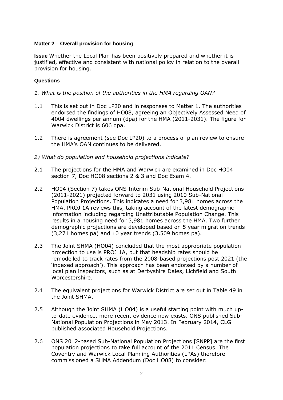# **Matter 2 – Overall provision for housing**

**Issue** Whether the Local Plan has been positively prepared and whether it is justified, effective and consistent with national policy in relation to the overall provision for housing.

#### **Questions**

- *1. What is the position of the authorities in the HMA regarding OAN?*
- 1.1 This is set out in Doc LP20 and in responses to Matter 1. The authorities endorsed the findings of HO08, agreeing an Objectively Assessed Need of 4004 dwellings per annum (dpa) for the HMA (2011-2031). The figure for Warwick District is 606 dpa.
- 1.2 There is agreement (see Doc LP20) to a process of plan review to ensure the HMA's OAN continues to be delivered.
- *2) What do population and household projections indicate?*
- 2.1 The projections for the HMA and Warwick are examined in Doc HO04 section 7, Doc HO08 sections 2 & 3 and Doc Exam 4.
- 2.2 HO04 (Section 7) takes ONS Interim Sub-National Household Projections (2011-2021) projected forward to 2031 using 2010 Sub-National Population Projections. This indicates a need for 3,981 homes across the HMA. PROJ 1A reviews this, taking account of the latest demographic information including regarding Unattributable Population Change. This results in a housing need for 3,981 homes across the HMA. Two further demographic projections are developed based on 5 year migration trends (3,271 homes pa) and 10 year trends (3,509 homes pa).
- 2.3 The Joint SHMA (HO04) concluded that the most appropriate population projection to use is PROJ 1A, but that headship rates should be remodelled to track rates from the 2008-based projections post 2021 (the 'indexed approach'). This approach has been endorsed by a number of local plan inspectors, such as at Derbyshire Dales, Lichfield and South Worcestershire.
- 2.4 The equivalent projections for Warwick District are set out in Table 49 in the Joint SHMA.
- 2.5 Although the Joint SHMA (HO04) is a useful starting point with much upto-date evidence, more recent evidence now exists. ONS published Sub-National Population Projections in May 2013. In February 2014, CLG published associated Household Projections.
- 2.6 ONS 2012-based Sub-National Population Projections [SNPP] are the first population projections to take full account of the 2011 Census. The Coventry and Warwick Local Planning Authorities (LPAs) therefore commissioned a SHMA Addendum (Doc HO08) to consider: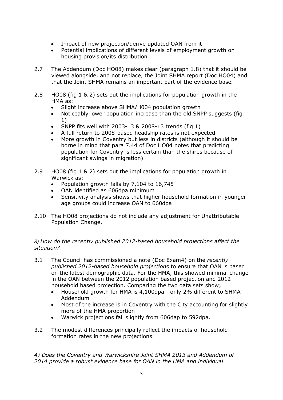- Impact of new projection/derive updated OAN from it
- Potential implications of different levels of employment growth on housing provision/its distribution
- 2.7 The Addendum (Doc HO08) makes clear (paragraph 1.8) that it should be viewed alongside, and not replace, the Joint SHMA report (Doc HO04) and that the Joint SHMA remains an important part of the evidence base.
- 2.8 HO08 (fig 1 & 2) sets out the implications for population growth in the HMA as:
	- Slight increase above SHMA/H004 population growth
	- Noticeably lower population increase than the old SNPP suggests (fig. 1)
	- SNPP fits well with 2003-13 & 2008-13 trends (fig 1)
	- A full return to 2008-based headship rates is not expected
	- More growth in Coventry but less in districts (although it should be borne in mind that para 7.44 of Doc HO04 notes that predicting population for Coventry is less certain than the shires because of significant swings in migration)
- 2.9 HO08 (fig 1 & 2) sets out the implications for population growth in Warwick as:
	- Population growth falls by 7,104 to 16,745
	- OAN identified as 606dpa minimum
	- Sensitivity analysis shows that higher household formation in younger age groups could increase OAN to 660dpa
- 2.10 The HO08 projections do not include any adjustment for Unattributable Population Change.

# *3) How do the recently published 2012-based household projections affect the situation?*

- 3.1 The Council has commissioned a note (Doc Exam4) on the *recently published 2012-based household projections* to ensure that OAN is based on the latest demographic data. For the HMA, this showed minimal change in the OAN between the 2012 population based projection and 2012 household based projection. Comparing the two data sets show;
	- Household growth for HMA is 4,100dpa only 2% different to SHMA Addendum
	- Most of the increase is in Coventry with the City accounting for slightly more of the HMA proportion
	- Warwick projections fall slightly from 606dap to 592dpa.
- 3.2 The modest differences principally reflect the impacts of household formation rates in the new projections.

*4) Does the Coventry and Warwickshire Joint SHMA 2013 and Addendum of 2014 provide a robust evidence base for OAN in the HMA and individual*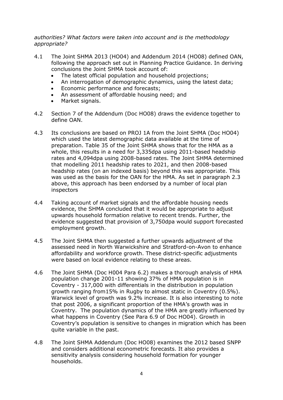*authorities? What factors were taken into account and is the methodology appropriate?*

- 4.1 The Joint SHMA 2013 (HO04) and Addendum 2014 (HO08) defined OAN, following the approach set out in Planning Practice Guidance. In deriving conclusions the Joint SHMA took account of:
	- The latest official population and household projections;
	- An interrogation of demographic dynamics, using the latest data;
	- Economic performance and forecasts;
	- An assessment of affordable housing need; and
	- Market signals.
- 4.2 Section 7 of the Addendum (Doc HO08) draws the evidence together to define OAN.
- 4.3 Its conclusions are based on PROJ 1A from the Joint SHMA (Doc HO04) which used the latest demographic data available at the time of preparation. Table 35 of the Joint SHMA shows that for the HMA as a whole, this results in a need for 3,335dpa using 2011-based headship rates and 4,094dpa using 2008-based rates. The Joint SHMA determined that modelling 2011 headship rates to 2021, and then 2008-based headship rates (on an indexed basis) beyond this was appropriate. This was used as the basis for the OAN for the HMA. As set in paragraph 2.3 above, this approach has been endorsed by a number of local plan inspectors
- 4.4 Taking account of market signals and the affordable housing needs evidence, the SHMA concluded that it would be appropriate to adjust upwards household formation relative to recent trends. Further, the evidence suggested that provision of 3,750dpa would support forecasted employment growth.
- 4.5 The Joint SHMA then suggested a further upwards adjustment of the assessed need in North Warwickshire and Stratford-on-Avon to enhance affordability and workforce growth. These district-specific adjustments were based on local evidence relating to these areas.
- 4.6 The Joint SHMA (Doc H004 Para 6.2) makes a thorough analysis of HMA population change 2001-11 showing 37% of HMA population is in Coventry - 317,000 with differentials in the distribution in population growth ranging from15% in Rugby to almost static in Coventry (0.5%). Warwick level of growth was 9.2% increase. It is also interesting to note that post 2006, a significant proportion of the HMA's growth was in Coventry. The population dynamics of the HMA are greatly influenced by what happens in Coventry (See Para 6.9 of Doc HO04). Growth in Coventry's population is sensitive to changes in migration which has been quite variable in the past.
- 4.8 The Joint SHMA Addendum (Doc HO08) examines the 2012 based SNPP and considers additional econometric forecasts. It also provides a sensitivity analysis considering household formation for younger households.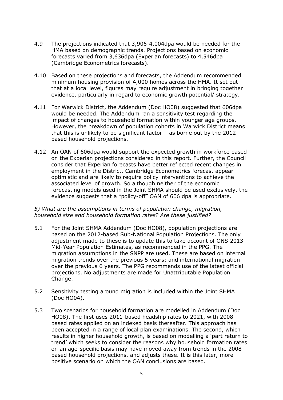- 4.9 The projections indicated that 3,906-4,004dpa would be needed for the HMA based on demographic trends. Projections based on economic forecasts varied from 3,636dpa (Experian forecasts) to 4,546dpa (Cambridge Econometrics forecasts).
- 4.10 Based on these projections and forecasts, the Addendum recommended minimum housing provision of 4,000 homes across the HMA. It set out that at a local level, figures may require adjustment in bringing together evidence, particularly in regard to economic growth potential/ strategy.
- 4.11 For Warwick District, the Addendum (Doc HO08) suggested that 606dpa would be needed. The Addendum ran a sensitivity test regarding the impact of changes to household formation within younger age groups. However, the breakdown of population cohorts in Warwick District means that this is unlikely to be significant factor – as borne out by the 2012 based household projections.
- 4.12 An OAN of 606dpa would support the expected growth in workforce based on the Experian projections considered in this report. Further, the Council consider that Experian forecasts have better reflected recent changes in employment in the District. Cambridge Econometrics forecast appear optimistic and are likely to require policy interventions to achieve the associated level of growth. So although neither of the economic forecasting models used in the Joint SHMA should be used exclusively, the evidence suggests that a "policy-off" OAN of 606 dpa is appropriate.

#### *5) What are the assumptions in terms of population change, migration, household size and household formation rates? Are these justified?*

- 5.1 For the Joint SHMA Addendum (Doc HO08), population projections are based on the 2012-based Sub-National Population Projections. The only adjustment made to these is to update this to take account of ONS 2013 Mid-Year Population Estimates, as recommended in the PPG. The migration assumptions in the SNPP are used. These are based on internal migration trends over the previous 5 years; and international migration over the previous 6 years. The PPG recommends use of the latest official projections. No adjustments are made for Unattributable Population Change.
- 5.2 Sensitivity testing around migration is included within the Joint SHMA (Doc HO04).
- 5.3 Two scenarios for household formation are modelled in Addendum (Doc HO08). The first uses 2011-based headship rates to 2021, with 2008 based rates applied on an indexed basis thereafter. This approach has been accepted in a range of local plan examinations. The second, which results in higher household growth, is based on modelling a 'part return to trend' which seeks to consider the reasons why household formation rates on an age-specific basis may have moved away from trends in the 2008 based household projections, and adjusts these. It is this later, more positive scenario on which the OAN conclusions are based.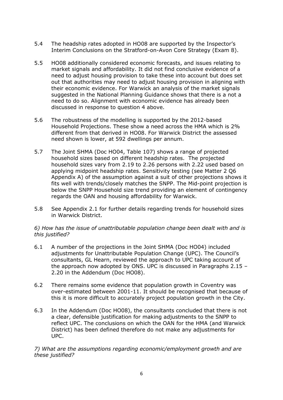- 5.4 The headship rates adopted in HO08 are supported by the Inspector's Interim Conclusions on the Stratford-on-Avon Core Strategy (Exam 8).
- 5.5 HO08 additionally considered economic forecasts, and issues relating to market signals and affordability. It did not find conclusive evidence of a need to adjust housing provision to take these into account but does set out that authorities may need to adjust housing provision in aligning with their economic evidence. For Warwick an analysis of the market signals suggested in the National Planning Guidance shows that there is a not a need to do so. Alignment with economic evidence has already been discussed in response to question 4 above.
- 5.6 The robustness of the modelling is supported by the 2012-based Household Projections. These show a need across the HMA which is 2% different from that derived in HO08. For Warwick District the assessed need shown is lower, at 592 dwellings per annum.
- 5.7 The Joint SHMA (Doc HO04, Table 107) shows a range of projected household sizes based on different headship rates. The projected household sizes vary from 2.19 to 2.26 persons with 2.22 used based on applying midpoint headship rates. Sensitivity testing (see Matter 2 Q6 Appendix A) of the assumption against a suit of other projections shows it fits well with trends/closely matches the SNPP. The Mid-point projection is below the SNPP Household size trend providing an element of contingency regards the OAN and housing affordability for Warwick.
- 5.8 See Appendix 2.1 for further details regarding trends for household sizes in Warwick District.

#### *6) How has the issue of unattributable population change been dealt with and is this justified?*

- 6.1 A number of the projections in the Joint SHMA (Doc HO04) included adjustments for Unattributable Population Change (UPC). The Council's consultants, GL Hearn, reviewed the approach to UPC taking account of the approach now adopted by ONS. UPC is discussed in Paragraphs 2.15 – 2.20 in the Addendum (Doc HO08).
- 6.2 There remains some evidence that population growth in Coventry was over-estimated between 2001-11. It should be recognised that because of this it is more difficult to accurately project population growth in the City.
- 6.3 In the Addendum (Doc HO08), the consultants concluded that there is not a clear, defensible justification for making adjustments to the SNPP to reflect UPC. The conclusions on which the OAN for the HMA (and Warwick District) has been defined therefore do not make any adjustments for UPC.

*7) What are the assumptions regarding economic/employment growth and are these justified?*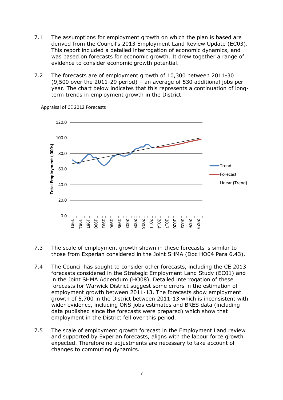- 7.1 The assumptions for employment growth on which the plan is based are derived from the Council's 2013 Employment Land Review Update (EC03). This report included a detailed interrogation of economic dynamics, and was based on forecasts for economic growth. It drew together a range of evidence to consider economic growth potential.
- 7.2 The forecasts are of employment growth of 10,300 between 2011-30 (9,500 over the 2011-29 period) – an average of 530 additional jobs per year. The chart below indicates that this represents a continuation of longterm trends in employment growth in the District.



Appraisal of CE 2012 Forecasts

- 7.3 The scale of employment growth shown in these forecasts is similar to those from Experian considered in the Joint SHMA (Doc HO04 Para 6.43).
- 7.4 The Council has sought to consider other forecasts, including the CE 2013 forecasts considered in the Strategic Employment Land Study (EC01) and in the Joint SHMA Addendum (HO08). Detailed interrogation of these forecasts for Warwick District suggest some errors in the estimation of employment growth between 2011-13. The forecasts show employment growth of 5,700 in the District between 2011-13 which is inconsistent with wider evidence, including ONS jobs estimates and BRES data (including data published since the forecasts were prepared) which show that employment in the District fell over this period.
- 7.5 The scale of employment growth forecast in the Employment Land review and supported by Experian forecasts, aligns with the labour force growth expected. Therefore no adjustments are necessary to take account of changes to commuting dynamics.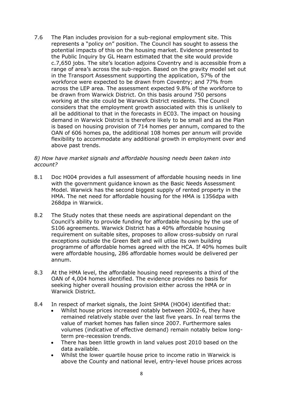7.6 The Plan includes provision for a sub-regional employment site. This represents a "policy on" position. The Council has sought to assess the potential impacts of this on the housing market. Evidence presented to the Public Inquiry by GL Hearn estimated that the site would provide c.7,650 jobs. The site's location adjoins Coventry and is accessible from a range of area's across the sub-region. Based on the gravity model set out in the Transport Assessment supporting the application, 57% of the workforce were expected to be drawn from Coventry; and 77% from across the LEP area. The assessment expected 9.8% of the workforce to be drawn from Warwick District. On this basis around 750 persons working at the site could be Warwick District residents. The Council considers that the employment growth associated with this is unlikely to all be additional to that in the forecasts in EC03. The impact on housing demand in Warwick District is therefore likely to be small and as the Plan is based on housing provision of 714 homes per annum, compared to the OAN of 606 homes pa, the additional 108 homes per annum will provide flexibility to accommodate any additional growth in employment over and above past trends.

#### *8) How have market signals and affordable housing needs been taken into account?*

- 8.1 Doc H004 provides a full assessment of affordable housing needs in line with the government guidance known as the Basic Needs Assessment Model. Warwick has the second biggest supply of rented property in the HMA. The net need for affordable housing for the HMA is 1356dpa with 268dpa in Warwick.
- 8.2 The Study notes that these needs are aspirational dependant on the Council's ability to provide funding for affordable housing by the use of S106 agreements. Warwick District has a 40% affordable housing requirement on suitable sites, proposes to allow cross-subsidy on rural exceptions outside the Green Belt and will utlise its own building programme of affordable homes agreed with the HCA. If 40% homes built were affordable housing, 286 affordable homes would be delivered per annum.
- 8.3 At the HMA level, the affordable housing need represents a third of the OAN of 4,004 homes identified. The evidence provides no basis for seeking higher overall housing provision either across the HMA or in Warwick District.
- 8.4 In respect of market signals, the Joint SHMA (HO04) identified that:
	- Whilst house prices increased notably between 2002-6, they have remained relatively stable over the last five years. In real terms the value of market homes has fallen since 2007. Furthermore sales volumes (indicative of effective demand) remain notably below longterm pre-recession trends.
	- There has been little growth in land values post 2010 based on the data available.
	- Whilst the lower quartile house price to income ratio in Warwick is above the County and national level, entry-level house prices across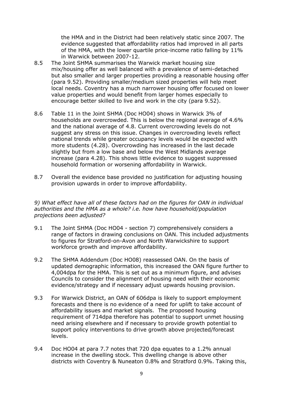the HMA and in the District had been relatively static since 2007. The evidence suggested that affordability ratios had improved in all parts of the HMA, with the lower quartile price-income ratio falling by 11% in Warwick between 2007-12.

- 8.5 The Joint SHMA summarises the Warwick market housing size mix/housing offer as well balanced with a prevalence of semi-detached but also smaller and larger properties providing a reasonable housing offer (para 9.52). Providing smaller/medium sized properties will help meet local needs. Coventry has a much narrower housing offer focused on lower value properties and would benefit from larger homes especially to encourage better skilled to live and work in the city (para 9.52).
- 8.6 Table 11 in the Joint SHMA (Doc HO04) shows in Warwick 3% of households are overcrowded. This is below the regional average of 4.6% and the national average of 4.8. Current overcrowding levels do not suggest any stress on this issue. Changes in overcrowding levels reflect national trends while greater occupancy levels would be expected with more students (4.28). Overcrowding has increased in the last decade slightly but from a low base and below the West Midlands average increase (para 4.28). This shows little evidence to suggest suppressed household formation or worsening affordability in Warwick.
- 8.7 Overall the evidence base provided no justification for adjusting housing provision upwards in order to improve affordability.

*9) What effect have all of these factors had on the figures for OAN in individual authorities and the HMA as a whole? i.e. how have household/population projections been adjusted?*

- 9.1 The Joint SHMA (Doc HO04 section 7) comprehensively considers a range of factors in drawing conclusions on OAN. This included adjustments to figures for Stratford-on-Avon and North Warwickshire to support workforce growth and improve affordability.
- 9.2 The SHMA Addendum (Doc HO08) reassessed OAN. On the basis of updated demographic information, this increased the OAN figure further to 4,004dpa for the HMA. This is set out as a minimum figure, and advises Councils to consider the alignment of housing need with their economic evidence/strategy and if necessary adjust upwards housing provision.
- 9.3 For Warwick District, an OAN of 606dpa is likely to support employment forecasts and there is no evidence of a need for uplift to take account of affordability issues and market signals. The proposed housing requirement of 714dpa therefore has potential to support unmet housing need arising elsewhere and if necessary to provide growth potential to support policy interventions to drive growth above projected/forecast levels.
- 9.4 Doc HO04 at para 7.7 notes that 720 dpa equates to a 1.2% annual increase in the dwelling stock. This dwelling change is above other districts with Coventry & Nuneaton 0.8% and Stratford 0.9%. Taking this,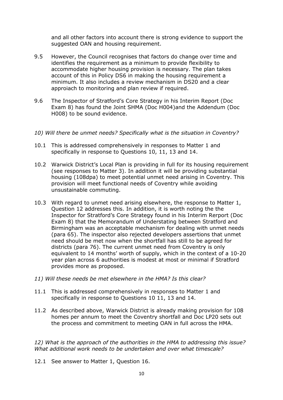and all other factors into account there is strong evidence to support the suggested OAN and housing requirement.

- 9.5 However, the Council recognises that factors do change over time and identifies the requirement as a minimum to provide flexibility to accommodate higher housing provision is necessary. The plan takes account of this in Policy DS6 in making the housing requirement a minimum. It also includes a review mechanism in DS20 and a clear approiach to monitoring and plan review if required.
- 9.6 The Inspector of Stratford's Core Strategy in his Interim Report (Doc Exam 8) has found the Joint SHMA (Doc H004)and the Addendum (Doc H008) to be sound evidence.

#### *10) Will there be unmet needs? Specifically what is the situation in Coventry?*

- 10.1 This is addressed comprehensively in responses to Matter 1 and specifically in response to Questions 10, 11, 13 and 14.
- 10.2 Warwick District's Local Plan is providing in full for its housing requirement (see responses to Matter 3). In addition it will be providing substantial housing (108dpa) to meet potential unmet need arising in Coventry. This provision will meet functional needs of Coventry while avoiding unsustainable commuting.
- 10.3 With regard to unmet need arising elsewhere, the response to Matter 1, Question 12 addresses this. In addition, it is worth noting the the Inspector for Stratford's Core Strategy found in his Interim Rerport (Doc Exam 8) that the Memorandum of Understating between Stratford and Birmingham was an acceptable mechanism for dealing with unmet needs (para 65). The inspector also rejected developers assertions that unmet need should be met now when the shortfall has still to be agreed for districts (para 76). The current unmet need from Coventry is only equivalent to 14 months' worth of supply, which in the context of a 10-20 year plan across 6 authorities is modest at most or minimal if Stratford provides more as proposed.
- *11) Will these needs be met elsewhere in the HMA? Is this clear?*
- 11.1 This is addressed comprehensively in responses to Matter 1 and specifically in response to Questions 10 11, 13 and 14.
- 11.2 As described above, Warwick District is already making provision for 108 homes per annum to meet the Coventry shortfall and Doc LP20 sets out the process and commitment to meeting OAN in full across the HMA.

*12) What is the approach of the authorities in the HMA to addressing this issue? What additional work needs to be undertaken and over what timescale?*

12.1 See answer to Matter 1, Question 16.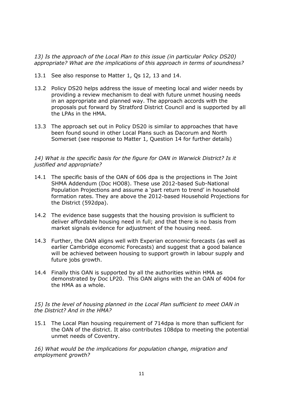*13) Is the approach of the Local Plan to this issue (in particular Policy DS20) appropriate? What are the implications of this approach in terms of soundness?*

- 13.1 See also response to Matter 1, Qs 12, 13 and 14.
- 13.2 Policy DS20 helps address the issue of meeting local and wider needs by providing a review mechanism to deal with future unmet housing needs in an appropriate and planned way. The approach accords with the proposals put forward by Stratford District Council and is supported by all the LPAs in the HMA.
- 13.3 The approach set out in Policy DS20 is similar to approaches that have been found sound in other Local Plans such as Dacorum and North Somerset (see response to Matter 1, Question 14 for further details)

## *14) What is the specific basis for the figure for OAN in Warwick District? Is it justified and appropriate?*

- 14.1 The specific basis of the OAN of 606 dpa is the projections in The Joint SHMA Addendum (Doc HO08). These use 2012-based Sub-National Population Projections and assume a 'part return to trend' in household formation rates. They are above the 2012-based Household Projections for the District (592dpa).
- 14.2 The evidence base suggests that the housing provision is sufficient to deliver affordable housing need in full; and that there is no basis from market signals evidence for adjustment of the housing need.
- 14.3 Further, the OAN aligns well with Experian economic forecasts (as well as earlier Cambridge economic Forecasts) and suggest that a good balance will be achieved between housing to support growth in labour supply and future jobs growth.
- 14.4 Finally this OAN is supported by all the authorities within HMA as demonstrated by Doc LP20. This OAN aligns with the an OAN of 4004 for the HMA as a whole.

*15) Is the level of housing planned in the Local Plan sufficient to meet OAN in the District? And in the HMA?*

15.1 The Local Plan housing requirement of 714dpa is more than sufficient for the OAN of the district. It also contributes 108dpa to meeting the potential unmet needs of Coventry.

*16) What would be the implications for population change, migration and employment growth?*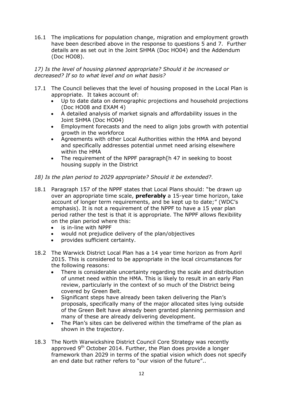16.1 The implications for population change, migration and employment growth have been described above in the response to questions 5 and 7. Further details are as set out in the Joint SHMA (Doc HO04) and the Addendum (Doc HO08).

# *17) Is the level of housing planned appropriate? Should it be increased or decreased? If so to what level and on what basis?*

- 17.1 The Council believes that the level of housing proposed in the Local Plan is appropriate. It takes account of:
	- Up to date data on demographic projections and household projections (Doc HO08 and EXAM 4)
	- A detailed analysis of market signals and affordability issues in the Joint SHMA (Doc HO04)
	- Employment forecasts and the need to align jobs growth with potential growth in the workforce
	- Agreements with other Local Authorities within the HMA and beyond and specifically addresses potential unmet need arising elsewhere within the HMA
	- The requirement of the NPPF paragraph[h 47 in seeking to boost housing supply in the District
- *18) Is the plan period to 2029 appropriate? Should it be extended?*.
- 18.1 Paragraph 157 of the NPPF states that Local Plans should: "be drawn up over an appropriate time scale, **preferably** a 15-year time horizon, take account of longer term requirements, and be kept up to date;" (WDC's emphasis). It is not a requirement of the NPPF to have a 15 year plan period rather the test is that it is appropriate. The NPPF allows flexibility on the plan period where this:
	- is in-line with NPPF
	- would not prejudice delivery of the plan/objectives
	- provides sufficient certainty.
- 18.2 The Warwick District Local Plan has a 14 year time horizon as from April 2015. This is considered to be appropriate in the local circumstances for the following reasons:
	- There is considerable uncertainty regarding the scale and distribution of unmet need within the HMA. This is likely to result in an early Plan review, particularly in the context of so much of the District being covered by Green Belt.
	- Significant steps have already been taken delivering the Plan's proposals, specifically many of the major allocated sites lying outside of the Green Belt have already been granted planning permission and many of these are already delivering development.
	- The Plan's sites can be delivered within the timeframe of the plan as shown in the trajectory.
- 18.3 The North Warwickshire District Council Core Strategy was recently approved 9<sup>th</sup> October 2014. Further, the Plan does provide a longer framework than 2029 in terms of the spatial vision which does not specify an end date but rather refers to "our vision of the future"..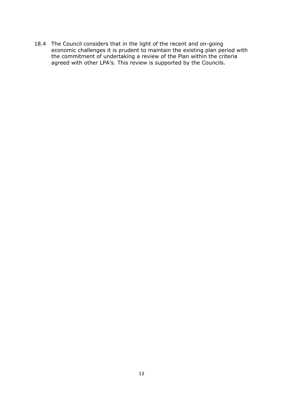18.4 The Council considers that in the light of the recent and on-going economic challenges it is prudent to maintain the existing plan period with the commitment of undertaking a review of the Plan within the criteria agreed with other LPA's. This review is supported by the Councils.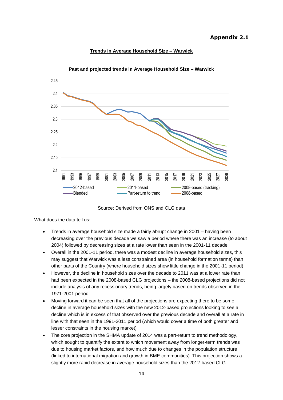#### **Appendix 2.1**



#### **Trends in Average Household Size – Warwick**

Source: Derived from ONS and CLG data

What does the data tell us:

- Trends in average household size made a fairly abrupt change in 2001 having been decreasing over the previous decade we saw a period where there was an increase (to about 2004) followed by decreasing sizes at a rate lower than seen in the 2001-11 decade
- Overall in the 2001-11 period, there was a modest decline in average household sizes, this may suggest that Warwick was a less constrained area (in household formation terms) than other parts of the Country (where household sizes show little change in the 2001-11 period)
- However, the decline in household sizes over the decade to 2011 was at a lower rate than had been expected in the 2008-based CLG projections – the 2008-based projections did not include analysis of any recessionary trends, being largely based on trends observed in the 1971-2001 period
- Moving forward it can be seen that all of the projections are expecting there to be some decline in average household sizes with the new 2012-based projections looking to see a decline which is in excess of that observed over the previous decade and overall at a rate in line with that seen in the 1991-2011 period (which would cover a time of both greater and lesser constraints in the housing market)
- The core projection in the SHMA update of 2014 was a part-return to trend methodology, which sought to quantify the extent to which movement away from longer-term trends was due to housing market factors, and how much due to changes in the population structure (linked to international migration and growth in BME communities). This projection shows a slightly more rapid decrease in average household sizes than the 2012-based CLG